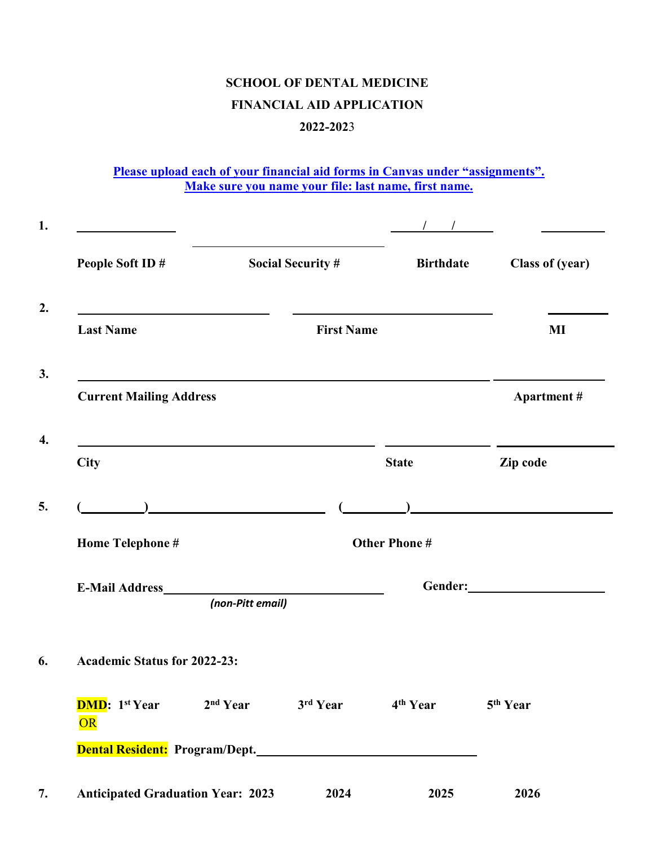## **SCHOOL OF DENTAL MEDICINE FINANCIAL AID APPLICATION 2022-202**3

**Please upload each of your financial aid forms in Canvas under "assignments". Make sure you name your file: last name, first name.**

| People Soft ID#                                                                   |                  | <b>Social Security #</b> | <b>Birthdate</b>     | <b>Class of (year)</b> |
|-----------------------------------------------------------------------------------|------------------|--------------------------|----------------------|------------------------|
| <b>Last Name</b>                                                                  |                  | <b>First Name</b>        |                      | MI                     |
| <b>Current Mailing Address</b>                                                    |                  |                          |                      | <b>Apartment</b> #     |
| <b>City</b>                                                                       |                  |                          | <b>State</b>         | Zip code               |
|                                                                                   |                  |                          |                      |                        |
| Home Telephone #                                                                  |                  |                          | <b>Other Phone#</b>  |                        |
| E-Mail Address <b>E-Mail Address</b>                                              | (non-Pitt email) |                          |                      |                        |
| <b>Academic Status for 2022-23:</b>                                               |                  |                          |                      |                        |
| <b>DMD</b> : 1 <sup>st</sup> Year 2 <sup>nd</sup> Year 3 <sup>rd</sup> Year<br>OR |                  |                          | 4 <sup>th</sup> Year | 5 <sup>th</sup> Year   |
| Dental Resident: Program/Dept.                                                    |                  |                          |                      |                        |
| <b>Anticipated Graduation Year: 2023</b>                                          |                  | 2024                     | 2025                 | 2026                   |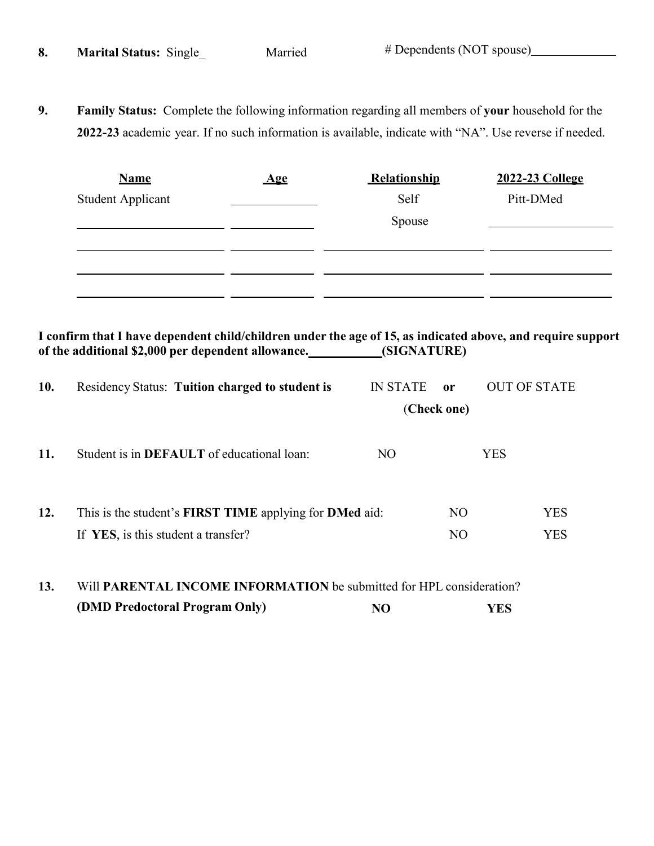**9. Family Status:** Complete the following information regarding all members of **your** household for the **2022-23** academic year. If no such information is available, indicate with "NA". Use reverse if needed.

| <b>Name</b>              | Age | Relationship | 2022-23 College |
|--------------------------|-----|--------------|-----------------|
| <b>Student Applicant</b> |     | Self         | Pitt-DMed       |
|                          |     | Spouse       |                 |
|                          |     |              |                 |
|                          |     |              |                 |
|                          |     |              |                 |
|                          |     |              |                 |

I confirm that I have dependent child/children under the age of 15, as indicated above, and require support **of the additional \$2,000 per dependent allowance. (SIGNATURE)**

| 10.        | <b>Residency Status: Tuition charged to student is</b>                      | <b>IN STATE</b> | <sub>or</sub>                      | <b>OUT OF STATE</b>      |
|------------|-----------------------------------------------------------------------------|-----------------|------------------------------------|--------------------------|
|            |                                                                             |                 | (Check one)                        |                          |
| <b>11.</b> | Student is in <b>DEFAULT</b> of educational loan:                           | NO.             |                                    | <b>YES</b>               |
| 12.        | This is the student's FIRST TIME applying for DMed aid:                     |                 | NO <sub>1</sub><br>NO <sub>1</sub> | <b>YES</b><br><b>YES</b> |
|            | If YES, is this student a transfer?                                         |                 |                                    |                          |
| 13.        | Will <b>PARENTAL INCOME INFORMATION</b> be submitted for HPL consideration? |                 |                                    |                          |

**(DMD Predoctoral Program Only) NO YES**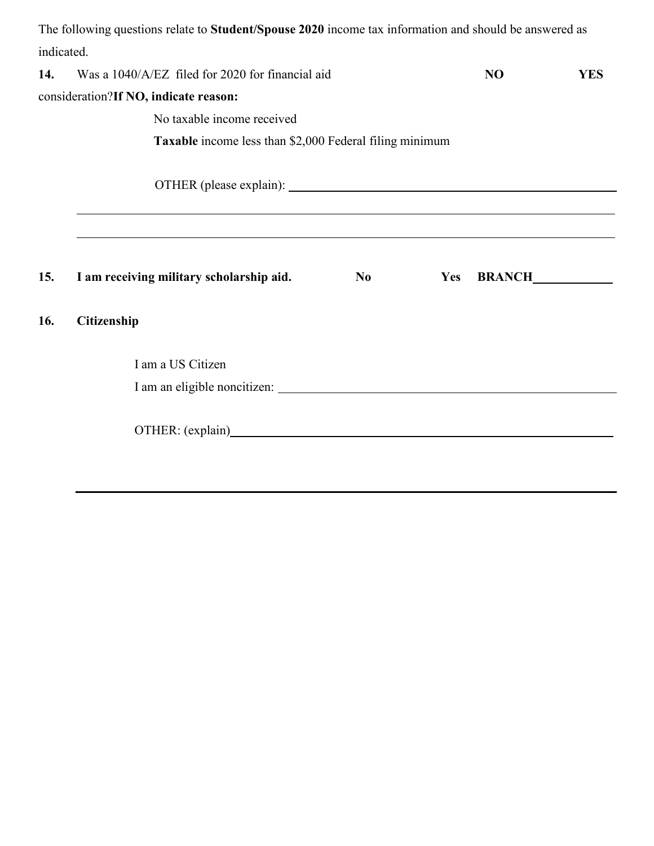|            | The following questions relate to Student/Spouse 2020 income tax information and should be answered as                        |                |     |                |            |  |
|------------|-------------------------------------------------------------------------------------------------------------------------------|----------------|-----|----------------|------------|--|
| indicated. |                                                                                                                               |                |     |                |            |  |
| 14.        | Was a 1040/A/EZ filed for 2020 for financial aid                                                                              |                |     | N <sub>O</sub> | <b>YES</b> |  |
|            | consideration?If NO, indicate reason:                                                                                         |                |     |                |            |  |
|            | No taxable income received                                                                                                    |                |     |                |            |  |
|            | Taxable income less than \$2,000 Federal filing minimum                                                                       |                |     |                |            |  |
|            |                                                                                                                               |                |     |                |            |  |
| 15.        | ,我们也不会有一个人的事情。""我们的人,我们也不会有一个人的人,我们也不会有一个人的人,我们也不会有一个人的人,我们也不会有一个人的人,我们也不会有一个人的人,<br>I am receiving military scholarship aid. | N <sub>0</sub> | Yes |                |            |  |
| 16.        | Citizenship                                                                                                                   |                |     |                |            |  |
|            | I am a US Citizen                                                                                                             |                |     |                |            |  |
|            |                                                                                                                               |                |     |                |            |  |
|            |                                                                                                                               |                |     |                |            |  |
|            |                                                                                                                               |                |     |                |            |  |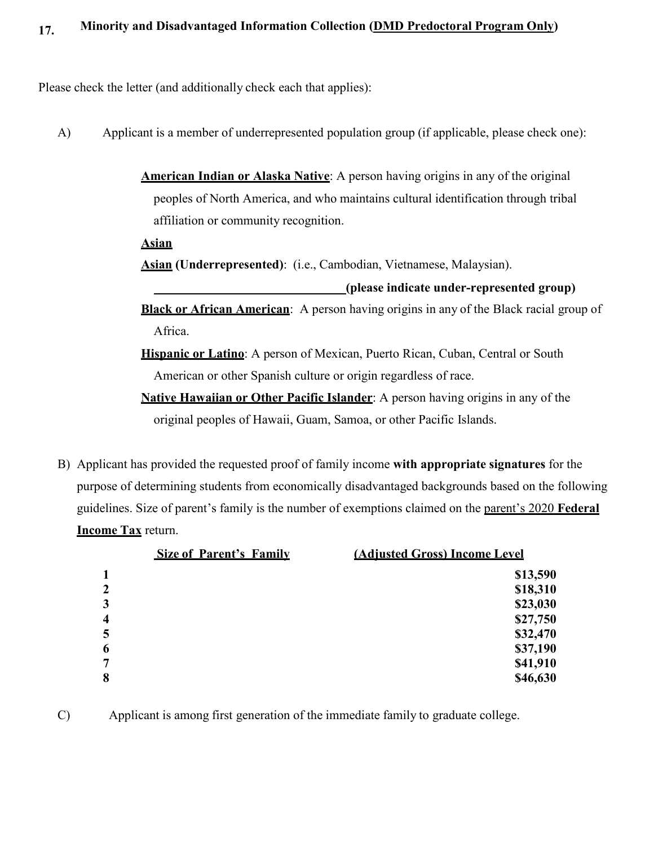Please check the letter (and additionally check each that applies):

- A) Applicant is a member of underrepresented population group (if applicable, please check one):
	- **American Indian or Alaska Native**: A person having origins in any of the original peoples of North America, and who maintains cultural identification through tribal affiliation or community recognition.

**Asian**

**Asian (Underrepresented)**: (i.e., Cambodian, Vietnamese, Malaysian).

**(please indicate under-represented group)**

**Black or African American**: A person having origins in any of the Black racial group of Africa.

**Hispanic or Latino**: A person of Mexican, Puerto Rican, Cuban, Central or South American or other Spanish culture or origin regardless of race.

**Native Hawaiian or Other Pacific Islander**: A person having origins in any of the original peoples of Hawaii, Guam, Samoa, or other Pacific Islands.

B) Applicant has provided the requested proof of family income **with appropriate signatures** for the purpose of determining students from economically disadvantaged backgrounds based on the following guidelines. Size of parent's family is the number of exemptions claimed on the parent's 2020 **Federal Income Tax** return.

|                         | <b>Size of Parent's Family</b> | (Adjusted Gross) Income Level |  |
|-------------------------|--------------------------------|-------------------------------|--|
| 1                       |                                | \$13,590                      |  |
| $\overline{2}$          |                                | \$18,310                      |  |
| $\overline{\mathbf{3}}$ |                                | \$23,030                      |  |
| $\overline{\mathbf{4}}$ |                                | \$27,750                      |  |
| 5                       |                                | \$32,470                      |  |
| 6                       |                                | \$37,190                      |  |
| $\overline{7}$          |                                | \$41,910                      |  |
| 8                       |                                | \$46,630                      |  |